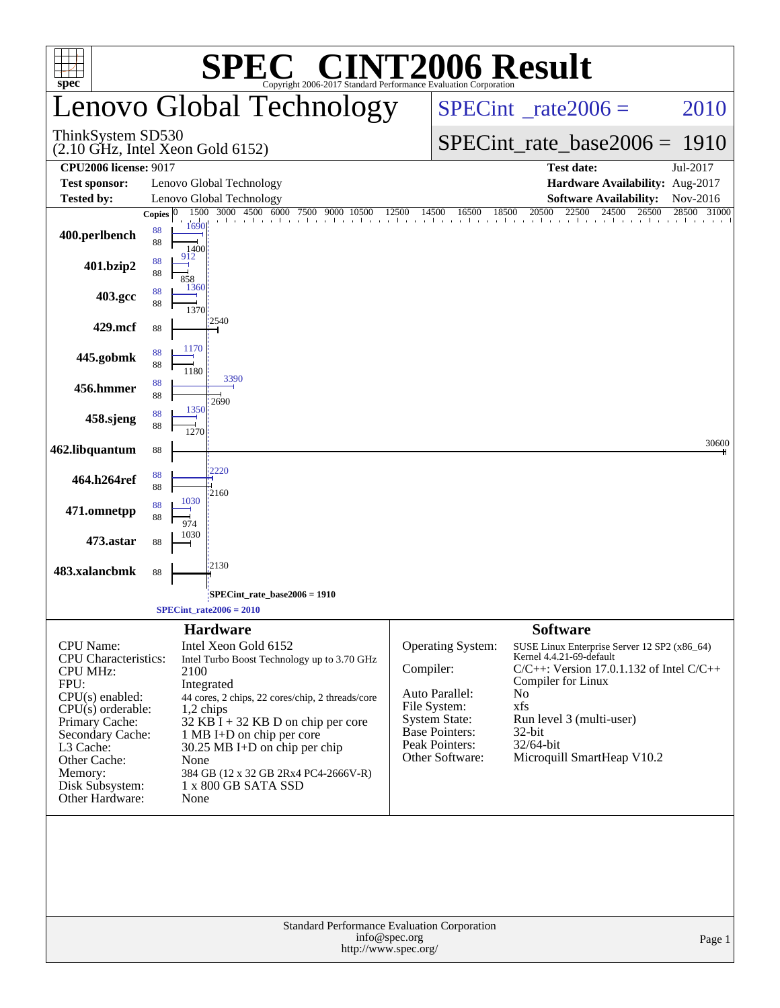| <b>SPEC<sup>®</sup> CINT2006 Result</b>                                                                                                                                                                                                    |                                                                                                                                                                                                                                                                                                                                                                              |                                                                                                                                                                                                                                                                                                                                                                                                                                               |  |  |  |  |  |  |  |  |  |
|--------------------------------------------------------------------------------------------------------------------------------------------------------------------------------------------------------------------------------------------|------------------------------------------------------------------------------------------------------------------------------------------------------------------------------------------------------------------------------------------------------------------------------------------------------------------------------------------------------------------------------|-----------------------------------------------------------------------------------------------------------------------------------------------------------------------------------------------------------------------------------------------------------------------------------------------------------------------------------------------------------------------------------------------------------------------------------------------|--|--|--|--|--|--|--|--|--|
| $spec^*$                                                                                                                                                                                                                                   | Copyright 2006-2017 Standard Performance Evaluation Corporation<br>Lenovo Global Technology                                                                                                                                                                                                                                                                                  | $SPECint^{\circ}$ rate $2006 =$<br>2010                                                                                                                                                                                                                                                                                                                                                                                                       |  |  |  |  |  |  |  |  |  |
| ThinkSystem SD530                                                                                                                                                                                                                          | (2.10 GHz, Intel Xeon Gold 6152)                                                                                                                                                                                                                                                                                                                                             | $SPECint_rate_base2006 = 1910$                                                                                                                                                                                                                                                                                                                                                                                                                |  |  |  |  |  |  |  |  |  |
| <b>CPU2006 license: 9017</b>                                                                                                                                                                                                               |                                                                                                                                                                                                                                                                                                                                                                              | <b>Test date:</b><br>Jul-2017                                                                                                                                                                                                                                                                                                                                                                                                                 |  |  |  |  |  |  |  |  |  |
| <b>Test sponsor:</b>                                                                                                                                                                                                                       | Lenovo Global Technology                                                                                                                                                                                                                                                                                                                                                     | Hardware Availability: Aug-2017                                                                                                                                                                                                                                                                                                                                                                                                               |  |  |  |  |  |  |  |  |  |
| <b>Tested by:</b>                                                                                                                                                                                                                          | Lenovo Global Technology<br>1500 3000 4500 6000 7500<br>Copies $ 0 $                                                                                                                                                                                                                                                                                                         | <b>Software Availability:</b><br>Nov-2016<br>20500<br>28500 31000<br>$\frac{000}{1}$ 4500 6000 7500 9000 10500 12500 14500 16500 18500 20500 22500 24500 26500                                                                                                                                                                                                                                                                                |  |  |  |  |  |  |  |  |  |
| 400.perlbench                                                                                                                                                                                                                              | 1690<br>88<br>88<br>1400                                                                                                                                                                                                                                                                                                                                                     |                                                                                                                                                                                                                                                                                                                                                                                                                                               |  |  |  |  |  |  |  |  |  |
| 401.bzip2                                                                                                                                                                                                                                  | 912<br>88<br>88<br>858<br>1360                                                                                                                                                                                                                                                                                                                                               |                                                                                                                                                                                                                                                                                                                                                                                                                                               |  |  |  |  |  |  |  |  |  |
| 403.gcc                                                                                                                                                                                                                                    | 88<br>88<br>1370<br>2540                                                                                                                                                                                                                                                                                                                                                     |                                                                                                                                                                                                                                                                                                                                                                                                                                               |  |  |  |  |  |  |  |  |  |
| 429.mcf                                                                                                                                                                                                                                    | 88                                                                                                                                                                                                                                                                                                                                                                           |                                                                                                                                                                                                                                                                                                                                                                                                                                               |  |  |  |  |  |  |  |  |  |
| 445.gobmk                                                                                                                                                                                                                                  | 1170<br>88<br>88<br>1180                                                                                                                                                                                                                                                                                                                                                     |                                                                                                                                                                                                                                                                                                                                                                                                                                               |  |  |  |  |  |  |  |  |  |
| 456.hmmer                                                                                                                                                                                                                                  | 3390<br>88<br>88                                                                                                                                                                                                                                                                                                                                                             |                                                                                                                                                                                                                                                                                                                                                                                                                                               |  |  |  |  |  |  |  |  |  |
| 458.sjeng                                                                                                                                                                                                                                  | 2690<br>1350<br>88<br>88<br>1270                                                                                                                                                                                                                                                                                                                                             |                                                                                                                                                                                                                                                                                                                                                                                                                                               |  |  |  |  |  |  |  |  |  |
| 462.libquantum                                                                                                                                                                                                                             | $88\,$                                                                                                                                                                                                                                                                                                                                                                       | 30600                                                                                                                                                                                                                                                                                                                                                                                                                                         |  |  |  |  |  |  |  |  |  |
| 464.h264ref                                                                                                                                                                                                                                | 2220<br>88<br>88<br>12160                                                                                                                                                                                                                                                                                                                                                    |                                                                                                                                                                                                                                                                                                                                                                                                                                               |  |  |  |  |  |  |  |  |  |
| 471.omnetpp                                                                                                                                                                                                                                | 1030<br>88<br>88<br>974                                                                                                                                                                                                                                                                                                                                                      |                                                                                                                                                                                                                                                                                                                                                                                                                                               |  |  |  |  |  |  |  |  |  |
| 473.astar                                                                                                                                                                                                                                  | 1030<br>88                                                                                                                                                                                                                                                                                                                                                                   |                                                                                                                                                                                                                                                                                                                                                                                                                                               |  |  |  |  |  |  |  |  |  |
| 483.xalancbmk                                                                                                                                                                                                                              | 12130<br>88                                                                                                                                                                                                                                                                                                                                                                  |                                                                                                                                                                                                                                                                                                                                                                                                                                               |  |  |  |  |  |  |  |  |  |
|                                                                                                                                                                                                                                            | SPECint rate base $2006 = 1910$                                                                                                                                                                                                                                                                                                                                              |                                                                                                                                                                                                                                                                                                                                                                                                                                               |  |  |  |  |  |  |  |  |  |
|                                                                                                                                                                                                                                            | $SPECint_rate2006 = 2010$                                                                                                                                                                                                                                                                                                                                                    |                                                                                                                                                                                                                                                                                                                                                                                                                                               |  |  |  |  |  |  |  |  |  |
| <b>CPU</b> Name:<br><b>CPU</b> Characteristics:<br><b>CPU MHz:</b><br>FPU:<br>$CPU(s)$ enabled:<br>$CPU(s)$ orderable:<br>Primary Cache:<br>Secondary Cache:<br>L3 Cache:<br>Other Cache:<br>Memory:<br>Disk Subsystem:<br>Other Hardware: | <b>Hardware</b><br>Intel Xeon Gold 6152<br>Intel Turbo Boost Technology up to 3.70 GHz<br>2100<br>Integrated<br>44 cores, 2 chips, 22 cores/chip, 2 threads/core<br>$1,2$ chips<br>$32$ KB $\bar{1}$ + 32 KB D on chip per core<br>1 MB I+D on chip per core<br>30.25 MB I+D on chip per chip<br>None<br>384 GB (12 x 32 GB 2Rx4 PC4-2666V-R)<br>1 x 800 GB SATA SSD<br>None | <b>Software</b><br><b>Operating System:</b><br>SUSE Linux Enterprise Server 12 SP2 (x86_64)<br>Kernel 4.4.21-69-default<br>Compiler:<br>$C/C++$ : Version 17.0.1.132 of Intel $C/C++$<br>Compiler for Linux<br>Auto Parallel:<br>N <sub>o</sub><br>File System:<br>xfs<br><b>System State:</b><br>Run level 3 (multi-user)<br><b>Base Pointers:</b><br>32-bit<br>Peak Pointers:<br>32/64-bit<br>Other Software:<br>Microquill SmartHeap V10.2 |  |  |  |  |  |  |  |  |  |
|                                                                                                                                                                                                                                            | Standard Performance Evaluation Corporation<br>info@spec.org<br>http://www.spec.org/                                                                                                                                                                                                                                                                                         | Page 1                                                                                                                                                                                                                                                                                                                                                                                                                                        |  |  |  |  |  |  |  |  |  |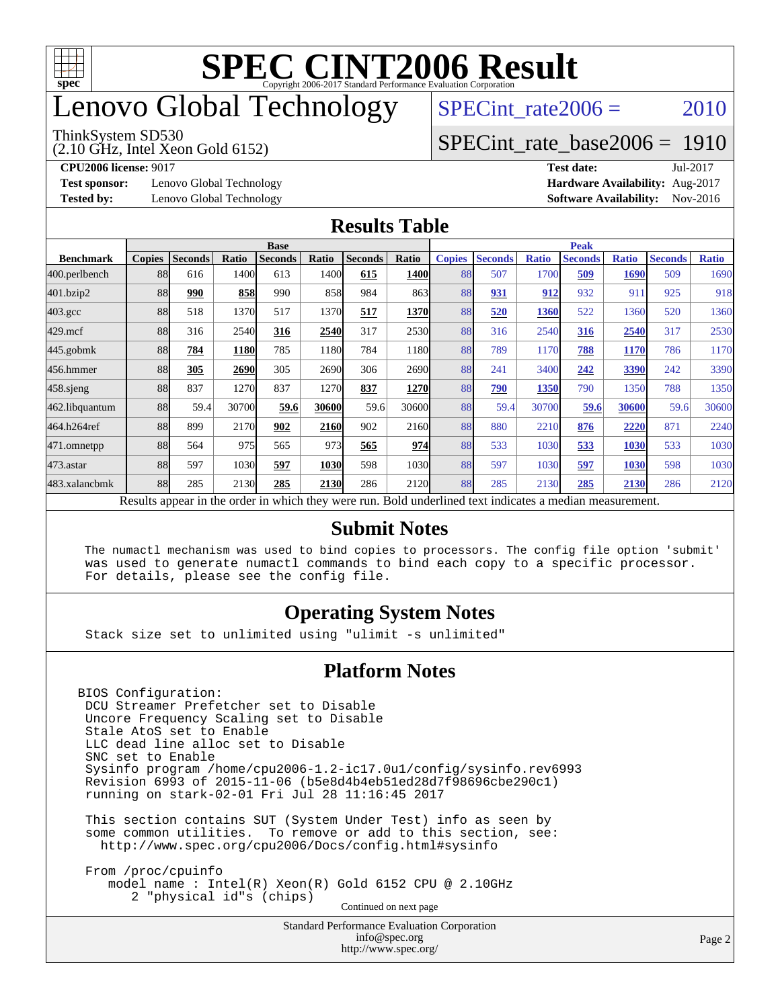

# enovo Global Technology

#### ThinkSystem SD530

(2.10 GHz, Intel Xeon Gold 6152)

SPECint rate $2006 = 2010$ 

### [SPECint\\_rate\\_base2006 =](http://www.spec.org/auto/cpu2006/Docs/result-fields.html#SPECintratebase2006) 1910

**[CPU2006 license:](http://www.spec.org/auto/cpu2006/Docs/result-fields.html#CPU2006license)** 9017 **[Test date:](http://www.spec.org/auto/cpu2006/Docs/result-fields.html#Testdate)** Jul-2017

**[Test sponsor:](http://www.spec.org/auto/cpu2006/Docs/result-fields.html#Testsponsor)** Lenovo Global Technology **[Hardware Availability:](http://www.spec.org/auto/cpu2006/Docs/result-fields.html#HardwareAvailability)** Aug-2017

**[Tested by:](http://www.spec.org/auto/cpu2006/Docs/result-fields.html#Testedby)** Lenovo Global Technology **[Software Availability:](http://www.spec.org/auto/cpu2006/Docs/result-fields.html#SoftwareAvailability)** Nov-2016

### **[Results Table](http://www.spec.org/auto/cpu2006/Docs/result-fields.html#ResultsTable)**

|                                                                                                          | <b>Base</b>   |                |       |                |       |                |             | <b>Peak</b>   |                |              |                |              |                |              |
|----------------------------------------------------------------------------------------------------------|---------------|----------------|-------|----------------|-------|----------------|-------------|---------------|----------------|--------------|----------------|--------------|----------------|--------------|
| <b>Benchmark</b>                                                                                         | <b>Copies</b> | <b>Seconds</b> | Ratio | <b>Seconds</b> | Ratio | <b>Seconds</b> | Ratio       | <b>Copies</b> | <b>Seconds</b> | <b>Ratio</b> | <b>Seconds</b> | <b>Ratio</b> | <b>Seconds</b> | <b>Ratio</b> |
| 400.perlbench                                                                                            | 88            | 616            | 1400  | 613            | 1400l | 615            | <b>1400</b> | 88            | 507            | 1700         | 509            | 1690         | 509            | 1690         |
| 401.bzip2                                                                                                | 88            | 990            | 858   | 990            | 858   | 984            | 863         | 88            | 931            | 912          | 932            | 91           | 925            | 918          |
| $403.\mathrm{gcc}$                                                                                       | 88            | 518            | 1370  | 517            | 1370  | 517            | 1370        | 88            | 520            | 1360         | 522            | 1360         | 520            | 1360         |
| $429$ .mcf                                                                                               | 88            | 316            | 2540  | 316            | 2540  | 317            | 2530        | 88            | 316            | 2540         | 316            | 2540         | 317            | 2530         |
| $445$ .gobmk                                                                                             | 88            | 784            | 1180  | 785            | 1180  | 784            | 1180l       | 88            | 789            | 1170         | 788            | 1170         | 786            | 1170         |
| 456.hmmer                                                                                                | 88            | 305            | 2690  | 305            | 2690  | 306            | 2690        | 88            | 241            | 3400         | 242            | 3390         | 242            | 3390         |
| $458$ .sjeng                                                                                             | 88            | 837            | 1270  | 837            | 1270  | 837            | <b>1270</b> | 88            | 790            | 1350         | 790            | 1350         | 788            | 1350         |
| 462.libquantum                                                                                           | 88            | 59.4           | 30700 | 59.6           | 30600 | 59.6           | 30600       | 88            | 59.4           | 30700        | 59.6           | 30600        | 59.6           | 30600        |
| 464.h264ref                                                                                              | 88            | 899            | 2170  | 902            | 2160  | 902            | 2160        | 88            | 880            | 2210         | 876            | 2220         | 871            | 2240         |
| 471.omnetpp                                                                                              | 88            | 564            | 975   | 565            | 973   | 565            | 974         | 88            | 533            | 1030         | 533            | 1030         | 533            | 1030         |
| $473$ . astar                                                                                            | 88            | 597            | 1030  | 597            | 1030  | 598            | 1030        | 88            | 597            | 1030         | 597            | 1030         | 598            | 1030         |
| 483.xalancbmk                                                                                            | 88            | 285            | 2130  | 285            | 2130  | 286            | 2120        | 88            | 285            | 2130         | 285            | 2130         | 286            | 2120         |
| Results appear in the order in which they were run. Bold underlined text indicates a median measurement. |               |                |       |                |       |                |             |               |                |              |                |              |                |              |

#### **[Submit Notes](http://www.spec.org/auto/cpu2006/Docs/result-fields.html#SubmitNotes)**

 The numactl mechanism was used to bind copies to processors. The config file option 'submit' was used to generate numactl commands to bind each copy to a specific processor. For details, please see the config file.

### **[Operating System Notes](http://www.spec.org/auto/cpu2006/Docs/result-fields.html#OperatingSystemNotes)**

Stack size set to unlimited using "ulimit -s unlimited"

#### **[Platform Notes](http://www.spec.org/auto/cpu2006/Docs/result-fields.html#PlatformNotes)**

BIOS Configuration: DCU Streamer Prefetcher set to Disable Uncore Frequency Scaling set to Disable Stale AtoS set to Enable LLC dead line alloc set to Disable SNC set to Enable Sysinfo program /home/cpu2006-1.2-ic17.0u1/config/sysinfo.rev6993 Revision 6993 of 2015-11-06 (b5e8d4b4eb51ed28d7f98696cbe290c1) running on stark-02-01 Fri Jul 28 11:16:45 2017

 This section contains SUT (System Under Test) info as seen by some common utilities. To remove or add to this section, see: <http://www.spec.org/cpu2006/Docs/config.html#sysinfo>

 From /proc/cpuinfo model name : Intel(R) Xeon(R) Gold 6152 CPU @ 2.10GHz 2 "physical id"s (chips) Continued on next page

> Standard Performance Evaluation Corporation [info@spec.org](mailto:info@spec.org) <http://www.spec.org/>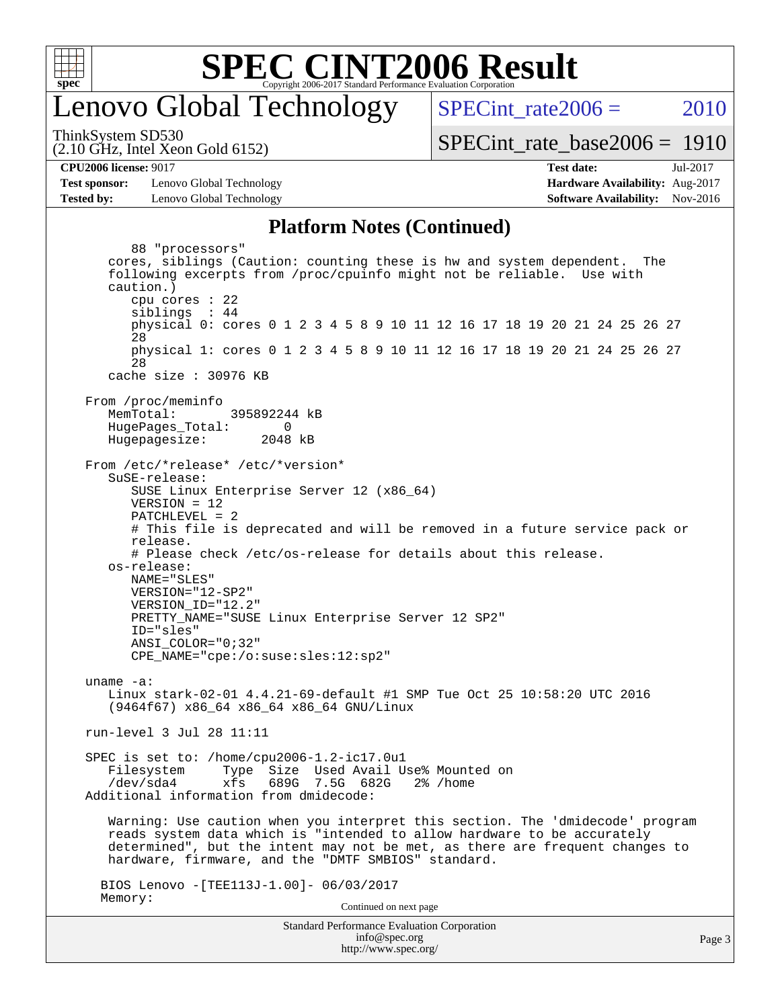

### enovo Global Technology

SPECint rate $2006 = 2010$ 

ThinkSystem SD530

[SPECint\\_rate\\_base2006 =](http://www.spec.org/auto/cpu2006/Docs/result-fields.html#SPECintratebase2006) 1910

(2.10 GHz, Intel Xeon Gold 6152)

**[Test sponsor:](http://www.spec.org/auto/cpu2006/Docs/result-fields.html#Testsponsor)** Lenovo Global Technology **[Hardware Availability:](http://www.spec.org/auto/cpu2006/Docs/result-fields.html#HardwareAvailability)** Aug-2017 **[Tested by:](http://www.spec.org/auto/cpu2006/Docs/result-fields.html#Testedby)** Lenovo Global Technology **[Software Availability:](http://www.spec.org/auto/cpu2006/Docs/result-fields.html#SoftwareAvailability)** Nov-2016

**[CPU2006 license:](http://www.spec.org/auto/cpu2006/Docs/result-fields.html#CPU2006license)** 9017 **[Test date:](http://www.spec.org/auto/cpu2006/Docs/result-fields.html#Testdate)** Jul-2017

### **[Platform Notes \(Continued\)](http://www.spec.org/auto/cpu2006/Docs/result-fields.html#PlatformNotes)**

Standard Performance Evaluation Corporation [info@spec.org](mailto:info@spec.org) 88 "processors" cores, siblings (Caution: counting these is hw and system dependent. The following excerpts from /proc/cpuinfo might not be reliable. Use with caution.) cpu cores : 22 siblings : 44 physical 0: cores 0 1 2 3 4 5 8 9 10 11 12 16 17 18 19 20 21 24 25 26 27 28 physical 1: cores 0 1 2 3 4 5 8 9 10 11 12 16 17 18 19 20 21 24 25 26 27 28 cache size : 30976 KB From /proc/meminfo MemTotal: 395892244 kB HugePages\_Total: 0<br>Hugepagesize: 2048 kB Hugepagesize: From /etc/\*release\* /etc/\*version\* SuSE-release: SUSE Linux Enterprise Server 12 (x86\_64) VERSION = 12 PATCHLEVEL = 2 # This file is deprecated and will be removed in a future service pack or release. # Please check /etc/os-release for details about this release. os-release: NAME="SLES" VERSION="12-SP2" VERSION\_ID="12.2" PRETTY\_NAME="SUSE Linux Enterprise Server 12 SP2" ID="sles" ANSI\_COLOR="0;32" CPE\_NAME="cpe:/o:suse:sles:12:sp2" uname -a: Linux stark-02-01 4.4.21-69-default #1 SMP Tue Oct 25 10:58:20 UTC 2016 (9464f67) x86\_64 x86\_64 x86\_64 GNU/Linux run-level 3 Jul 28 11:11 SPEC is set to: /home/cpu2006-1.2-ic17.0u1 Filesystem Type Size Used Avail Use% Mounted on xfs 689G 7.5G 682G 2% /home Additional information from dmidecode: Warning: Use caution when you interpret this section. The 'dmidecode' program reads system data which is "intended to allow hardware to be accurately determined", but the intent may not be met, as there are frequent changes to hardware, firmware, and the "DMTF SMBIOS" standard. BIOS Lenovo -[TEE113J-1.00]- 06/03/2017 Memory: Continued on next page

<http://www.spec.org/>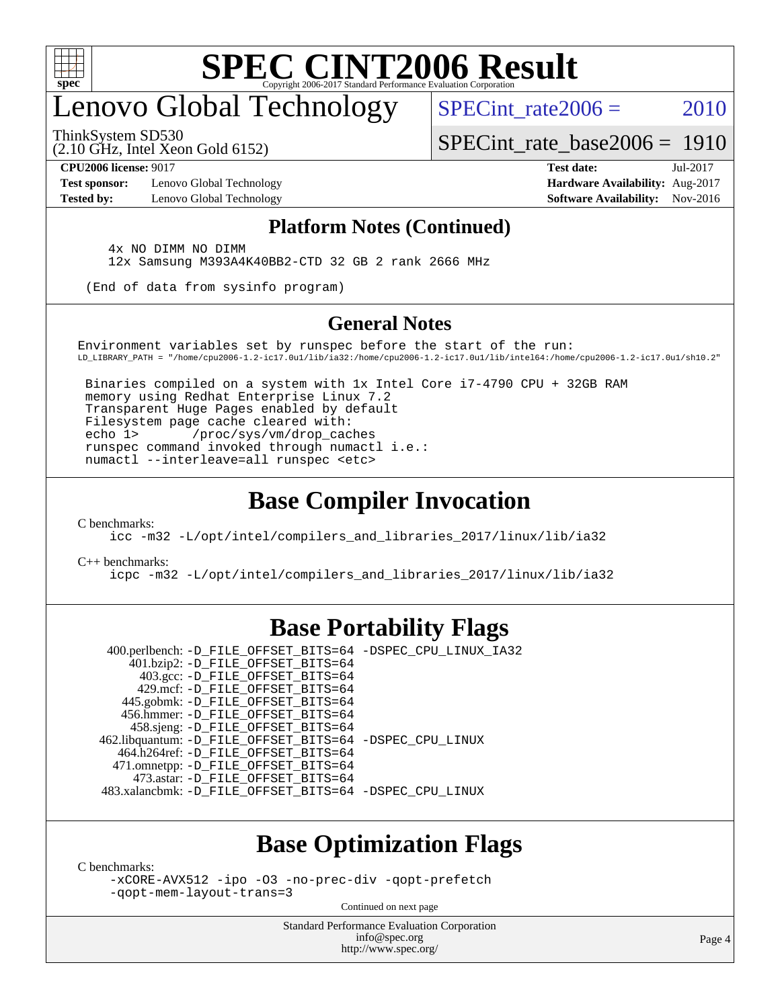

# enovo Global Technology

SPECint rate $2006 = 2010$ 

ThinkSystem SD530

(2.10 GHz, Intel Xeon Gold 6152)

[SPECint\\_rate\\_base2006 =](http://www.spec.org/auto/cpu2006/Docs/result-fields.html#SPECintratebase2006) 1910

**[Test sponsor:](http://www.spec.org/auto/cpu2006/Docs/result-fields.html#Testsponsor)** Lenovo Global Technology **[Hardware Availability:](http://www.spec.org/auto/cpu2006/Docs/result-fields.html#HardwareAvailability)** Aug-2017

**[CPU2006 license:](http://www.spec.org/auto/cpu2006/Docs/result-fields.html#CPU2006license)** 9017 **[Test date:](http://www.spec.org/auto/cpu2006/Docs/result-fields.html#Testdate)** Jul-2017 **[Tested by:](http://www.spec.org/auto/cpu2006/Docs/result-fields.html#Testedby)** Lenovo Global Technology **[Software Availability:](http://www.spec.org/auto/cpu2006/Docs/result-fields.html#SoftwareAvailability)** Nov-2016

### **[Platform Notes \(Continued\)](http://www.spec.org/auto/cpu2006/Docs/result-fields.html#PlatformNotes)**

 4x NO DIMM NO DIMM 12x Samsung M393A4K40BB2-CTD 32 GB 2 rank 2666 MHz

(End of data from sysinfo program)

### **[General Notes](http://www.spec.org/auto/cpu2006/Docs/result-fields.html#GeneralNotes)**

Environment variables set by runspec before the start of the run: LD\_LIBRARY\_PATH = "/home/cpu2006-1.2-ic17.0u1/lib/ia32:/home/cpu2006-1.2-ic17.0u1/lib/intel64:/home/cpu2006-1.2-ic17.0u1/sh10.2"

 Binaries compiled on a system with 1x Intel Core i7-4790 CPU + 32GB RAM memory using Redhat Enterprise Linux 7.2 Transparent Huge Pages enabled by default Filesystem page cache cleared with: echo 1> /proc/sys/vm/drop\_caches runspec command invoked through numactl i.e.: numactl --interleave=all runspec <etc>

### **[Base Compiler Invocation](http://www.spec.org/auto/cpu2006/Docs/result-fields.html#BaseCompilerInvocation)**

[C benchmarks](http://www.spec.org/auto/cpu2006/Docs/result-fields.html#Cbenchmarks):

[icc -m32 -L/opt/intel/compilers\\_and\\_libraries\\_2017/linux/lib/ia32](http://www.spec.org/cpu2006/results/res2017q4/cpu2006-20170918-49660.flags.html#user_CCbase_intel_icc_c29f3ff5a7ed067b11e4ec10a03f03ae)

[C++ benchmarks:](http://www.spec.org/auto/cpu2006/Docs/result-fields.html#CXXbenchmarks)

[icpc -m32 -L/opt/intel/compilers\\_and\\_libraries\\_2017/linux/lib/ia32](http://www.spec.org/cpu2006/results/res2017q4/cpu2006-20170918-49660.flags.html#user_CXXbase_intel_icpc_8c35c7808b62dab9ae41a1aa06361b6b)

### **[Base Portability Flags](http://www.spec.org/auto/cpu2006/Docs/result-fields.html#BasePortabilityFlags)**

 400.perlbench: [-D\\_FILE\\_OFFSET\\_BITS=64](http://www.spec.org/cpu2006/results/res2017q4/cpu2006-20170918-49660.flags.html#user_basePORTABILITY400_perlbench_file_offset_bits_64_438cf9856305ebd76870a2c6dc2689ab) [-DSPEC\\_CPU\\_LINUX\\_IA32](http://www.spec.org/cpu2006/results/res2017q4/cpu2006-20170918-49660.flags.html#b400.perlbench_baseCPORTABILITY_DSPEC_CPU_LINUX_IA32) 401.bzip2: [-D\\_FILE\\_OFFSET\\_BITS=64](http://www.spec.org/cpu2006/results/res2017q4/cpu2006-20170918-49660.flags.html#user_basePORTABILITY401_bzip2_file_offset_bits_64_438cf9856305ebd76870a2c6dc2689ab) 403.gcc: [-D\\_FILE\\_OFFSET\\_BITS=64](http://www.spec.org/cpu2006/results/res2017q4/cpu2006-20170918-49660.flags.html#user_basePORTABILITY403_gcc_file_offset_bits_64_438cf9856305ebd76870a2c6dc2689ab) 429.mcf: [-D\\_FILE\\_OFFSET\\_BITS=64](http://www.spec.org/cpu2006/results/res2017q4/cpu2006-20170918-49660.flags.html#user_basePORTABILITY429_mcf_file_offset_bits_64_438cf9856305ebd76870a2c6dc2689ab) 445.gobmk: [-D\\_FILE\\_OFFSET\\_BITS=64](http://www.spec.org/cpu2006/results/res2017q4/cpu2006-20170918-49660.flags.html#user_basePORTABILITY445_gobmk_file_offset_bits_64_438cf9856305ebd76870a2c6dc2689ab) 456.hmmer: [-D\\_FILE\\_OFFSET\\_BITS=64](http://www.spec.org/cpu2006/results/res2017q4/cpu2006-20170918-49660.flags.html#user_basePORTABILITY456_hmmer_file_offset_bits_64_438cf9856305ebd76870a2c6dc2689ab) 458.sjeng: [-D\\_FILE\\_OFFSET\\_BITS=64](http://www.spec.org/cpu2006/results/res2017q4/cpu2006-20170918-49660.flags.html#user_basePORTABILITY458_sjeng_file_offset_bits_64_438cf9856305ebd76870a2c6dc2689ab) 462.libquantum: [-D\\_FILE\\_OFFSET\\_BITS=64](http://www.spec.org/cpu2006/results/res2017q4/cpu2006-20170918-49660.flags.html#user_basePORTABILITY462_libquantum_file_offset_bits_64_438cf9856305ebd76870a2c6dc2689ab) [-DSPEC\\_CPU\\_LINUX](http://www.spec.org/cpu2006/results/res2017q4/cpu2006-20170918-49660.flags.html#b462.libquantum_baseCPORTABILITY_DSPEC_CPU_LINUX) 464.h264ref: [-D\\_FILE\\_OFFSET\\_BITS=64](http://www.spec.org/cpu2006/results/res2017q4/cpu2006-20170918-49660.flags.html#user_basePORTABILITY464_h264ref_file_offset_bits_64_438cf9856305ebd76870a2c6dc2689ab) 471.omnetpp: [-D\\_FILE\\_OFFSET\\_BITS=64](http://www.spec.org/cpu2006/results/res2017q4/cpu2006-20170918-49660.flags.html#user_basePORTABILITY471_omnetpp_file_offset_bits_64_438cf9856305ebd76870a2c6dc2689ab) 473.astar: [-D\\_FILE\\_OFFSET\\_BITS=64](http://www.spec.org/cpu2006/results/res2017q4/cpu2006-20170918-49660.flags.html#user_basePORTABILITY473_astar_file_offset_bits_64_438cf9856305ebd76870a2c6dc2689ab) 483.xalancbmk: [-D\\_FILE\\_OFFSET\\_BITS=64](http://www.spec.org/cpu2006/results/res2017q4/cpu2006-20170918-49660.flags.html#user_basePORTABILITY483_xalancbmk_file_offset_bits_64_438cf9856305ebd76870a2c6dc2689ab) [-DSPEC\\_CPU\\_LINUX](http://www.spec.org/cpu2006/results/res2017q4/cpu2006-20170918-49660.flags.html#b483.xalancbmk_baseCXXPORTABILITY_DSPEC_CPU_LINUX)

### **[Base Optimization Flags](http://www.spec.org/auto/cpu2006/Docs/result-fields.html#BaseOptimizationFlags)**

[C benchmarks](http://www.spec.org/auto/cpu2006/Docs/result-fields.html#Cbenchmarks):

[-xCORE-AVX512](http://www.spec.org/cpu2006/results/res2017q4/cpu2006-20170918-49660.flags.html#user_CCbase_f-xCORE-AVX512) [-ipo](http://www.spec.org/cpu2006/results/res2017q4/cpu2006-20170918-49660.flags.html#user_CCbase_f-ipo) [-O3](http://www.spec.org/cpu2006/results/res2017q4/cpu2006-20170918-49660.flags.html#user_CCbase_f-O3) [-no-prec-div](http://www.spec.org/cpu2006/results/res2017q4/cpu2006-20170918-49660.flags.html#user_CCbase_f-no-prec-div) [-qopt-prefetch](http://www.spec.org/cpu2006/results/res2017q4/cpu2006-20170918-49660.flags.html#user_CCbase_f-qopt-prefetch) [-qopt-mem-layout-trans=3](http://www.spec.org/cpu2006/results/res2017q4/cpu2006-20170918-49660.flags.html#user_CCbase_f-qopt-mem-layout-trans_170f5be61cd2cedc9b54468c59262d5d)

Continued on next page

Standard Performance Evaluation Corporation [info@spec.org](mailto:info@spec.org) <http://www.spec.org/>

Page 4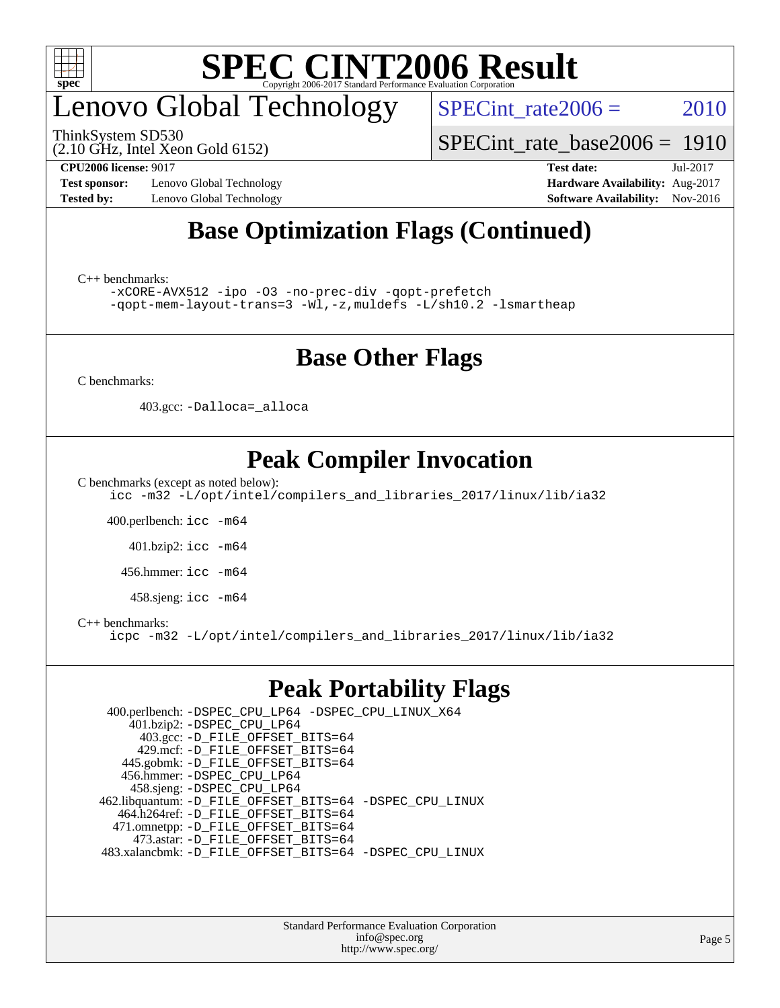

# enovo Global Technology

ThinkSystem SD530

SPECint rate $2006 = 2010$ 

(2.10 GHz, Intel Xeon Gold 6152)

[SPECint\\_rate\\_base2006 =](http://www.spec.org/auto/cpu2006/Docs/result-fields.html#SPECintratebase2006) 1910

**[Test sponsor:](http://www.spec.org/auto/cpu2006/Docs/result-fields.html#Testsponsor)** Lenovo Global Technology **[Hardware Availability:](http://www.spec.org/auto/cpu2006/Docs/result-fields.html#HardwareAvailability)** Aug-2017 **[Tested by:](http://www.spec.org/auto/cpu2006/Docs/result-fields.html#Testedby)** Lenovo Global Technology **[Software Availability:](http://www.spec.org/auto/cpu2006/Docs/result-fields.html#SoftwareAvailability)** Nov-2016

**[CPU2006 license:](http://www.spec.org/auto/cpu2006/Docs/result-fields.html#CPU2006license)** 9017 **[Test date:](http://www.spec.org/auto/cpu2006/Docs/result-fields.html#Testdate)** Jul-2017

### **[Base Optimization Flags \(Continued\)](http://www.spec.org/auto/cpu2006/Docs/result-fields.html#BaseOptimizationFlags)**

[C++ benchmarks:](http://www.spec.org/auto/cpu2006/Docs/result-fields.html#CXXbenchmarks)

[-xCORE-AVX512](http://www.spec.org/cpu2006/results/res2017q4/cpu2006-20170918-49660.flags.html#user_CXXbase_f-xCORE-AVX512) [-ipo](http://www.spec.org/cpu2006/results/res2017q4/cpu2006-20170918-49660.flags.html#user_CXXbase_f-ipo) [-O3](http://www.spec.org/cpu2006/results/res2017q4/cpu2006-20170918-49660.flags.html#user_CXXbase_f-O3) [-no-prec-div](http://www.spec.org/cpu2006/results/res2017q4/cpu2006-20170918-49660.flags.html#user_CXXbase_f-no-prec-div) [-qopt-prefetch](http://www.spec.org/cpu2006/results/res2017q4/cpu2006-20170918-49660.flags.html#user_CXXbase_f-qopt-prefetch) [-qopt-mem-layout-trans=3](http://www.spec.org/cpu2006/results/res2017q4/cpu2006-20170918-49660.flags.html#user_CXXbase_f-qopt-mem-layout-trans_170f5be61cd2cedc9b54468c59262d5d) [-Wl,-z,muldefs](http://www.spec.org/cpu2006/results/res2017q4/cpu2006-20170918-49660.flags.html#user_CXXbase_link_force_multiple1_74079c344b956b9658436fd1b6dd3a8a) [-L/sh10.2 -lsmartheap](http://www.spec.org/cpu2006/results/res2017q4/cpu2006-20170918-49660.flags.html#user_CXXbase_SmartHeap_b831f2d313e2fffa6dfe3f00ffc1f1c0)

### **[Base Other Flags](http://www.spec.org/auto/cpu2006/Docs/result-fields.html#BaseOtherFlags)**

[C benchmarks](http://www.spec.org/auto/cpu2006/Docs/result-fields.html#Cbenchmarks):

403.gcc: [-Dalloca=\\_alloca](http://www.spec.org/cpu2006/results/res2017q4/cpu2006-20170918-49660.flags.html#b403.gcc_baseEXTRA_CFLAGS_Dalloca_be3056838c12de2578596ca5467af7f3)

### **[Peak Compiler Invocation](http://www.spec.org/auto/cpu2006/Docs/result-fields.html#PeakCompilerInvocation)**

[C benchmarks \(except as noted below\)](http://www.spec.org/auto/cpu2006/Docs/result-fields.html#Cbenchmarksexceptasnotedbelow):

[icc -m32 -L/opt/intel/compilers\\_and\\_libraries\\_2017/linux/lib/ia32](http://www.spec.org/cpu2006/results/res2017q4/cpu2006-20170918-49660.flags.html#user_CCpeak_intel_icc_c29f3ff5a7ed067b11e4ec10a03f03ae)

400.perlbench: [icc -m64](http://www.spec.org/cpu2006/results/res2017q4/cpu2006-20170918-49660.flags.html#user_peakCCLD400_perlbench_intel_icc_64bit_bda6cc9af1fdbb0edc3795bac97ada53)

401.bzip2: [icc -m64](http://www.spec.org/cpu2006/results/res2017q4/cpu2006-20170918-49660.flags.html#user_peakCCLD401_bzip2_intel_icc_64bit_bda6cc9af1fdbb0edc3795bac97ada53)

456.hmmer: [icc -m64](http://www.spec.org/cpu2006/results/res2017q4/cpu2006-20170918-49660.flags.html#user_peakCCLD456_hmmer_intel_icc_64bit_bda6cc9af1fdbb0edc3795bac97ada53)

458.sjeng: [icc -m64](http://www.spec.org/cpu2006/results/res2017q4/cpu2006-20170918-49660.flags.html#user_peakCCLD458_sjeng_intel_icc_64bit_bda6cc9af1fdbb0edc3795bac97ada53)

#### [C++ benchmarks:](http://www.spec.org/auto/cpu2006/Docs/result-fields.html#CXXbenchmarks)

[icpc -m32 -L/opt/intel/compilers\\_and\\_libraries\\_2017/linux/lib/ia32](http://www.spec.org/cpu2006/results/res2017q4/cpu2006-20170918-49660.flags.html#user_CXXpeak_intel_icpc_8c35c7808b62dab9ae41a1aa06361b6b)

### **[Peak Portability Flags](http://www.spec.org/auto/cpu2006/Docs/result-fields.html#PeakPortabilityFlags)**

 400.perlbench: [-DSPEC\\_CPU\\_LP64](http://www.spec.org/cpu2006/results/res2017q4/cpu2006-20170918-49660.flags.html#b400.perlbench_peakCPORTABILITY_DSPEC_CPU_LP64) [-DSPEC\\_CPU\\_LINUX\\_X64](http://www.spec.org/cpu2006/results/res2017q4/cpu2006-20170918-49660.flags.html#b400.perlbench_peakCPORTABILITY_DSPEC_CPU_LINUX_X64) 401.bzip2: [-DSPEC\\_CPU\\_LP64](http://www.spec.org/cpu2006/results/res2017q4/cpu2006-20170918-49660.flags.html#suite_peakCPORTABILITY401_bzip2_DSPEC_CPU_LP64) 403.gcc: [-D\\_FILE\\_OFFSET\\_BITS=64](http://www.spec.org/cpu2006/results/res2017q4/cpu2006-20170918-49660.flags.html#user_peakPORTABILITY403_gcc_file_offset_bits_64_438cf9856305ebd76870a2c6dc2689ab) 429.mcf: [-D\\_FILE\\_OFFSET\\_BITS=64](http://www.spec.org/cpu2006/results/res2017q4/cpu2006-20170918-49660.flags.html#user_peakPORTABILITY429_mcf_file_offset_bits_64_438cf9856305ebd76870a2c6dc2689ab) 445.gobmk: [-D\\_FILE\\_OFFSET\\_BITS=64](http://www.spec.org/cpu2006/results/res2017q4/cpu2006-20170918-49660.flags.html#user_peakPORTABILITY445_gobmk_file_offset_bits_64_438cf9856305ebd76870a2c6dc2689ab) 456.hmmer: [-DSPEC\\_CPU\\_LP64](http://www.spec.org/cpu2006/results/res2017q4/cpu2006-20170918-49660.flags.html#suite_peakCPORTABILITY456_hmmer_DSPEC_CPU_LP64) 458.sjeng: [-DSPEC\\_CPU\\_LP64](http://www.spec.org/cpu2006/results/res2017q4/cpu2006-20170918-49660.flags.html#suite_peakCPORTABILITY458_sjeng_DSPEC_CPU_LP64) 462.libquantum: [-D\\_FILE\\_OFFSET\\_BITS=64](http://www.spec.org/cpu2006/results/res2017q4/cpu2006-20170918-49660.flags.html#user_peakPORTABILITY462_libquantum_file_offset_bits_64_438cf9856305ebd76870a2c6dc2689ab) [-DSPEC\\_CPU\\_LINUX](http://www.spec.org/cpu2006/results/res2017q4/cpu2006-20170918-49660.flags.html#b462.libquantum_peakCPORTABILITY_DSPEC_CPU_LINUX) 464.h264ref: [-D\\_FILE\\_OFFSET\\_BITS=64](http://www.spec.org/cpu2006/results/res2017q4/cpu2006-20170918-49660.flags.html#user_peakPORTABILITY464_h264ref_file_offset_bits_64_438cf9856305ebd76870a2c6dc2689ab) 471.omnetpp: [-D\\_FILE\\_OFFSET\\_BITS=64](http://www.spec.org/cpu2006/results/res2017q4/cpu2006-20170918-49660.flags.html#user_peakPORTABILITY471_omnetpp_file_offset_bits_64_438cf9856305ebd76870a2c6dc2689ab) 473.astar: [-D\\_FILE\\_OFFSET\\_BITS=64](http://www.spec.org/cpu2006/results/res2017q4/cpu2006-20170918-49660.flags.html#user_peakPORTABILITY473_astar_file_offset_bits_64_438cf9856305ebd76870a2c6dc2689ab) 483.xalancbmk: [-D\\_FILE\\_OFFSET\\_BITS=64](http://www.spec.org/cpu2006/results/res2017q4/cpu2006-20170918-49660.flags.html#user_peakPORTABILITY483_xalancbmk_file_offset_bits_64_438cf9856305ebd76870a2c6dc2689ab) [-DSPEC\\_CPU\\_LINUX](http://www.spec.org/cpu2006/results/res2017q4/cpu2006-20170918-49660.flags.html#b483.xalancbmk_peakCXXPORTABILITY_DSPEC_CPU_LINUX)

> Standard Performance Evaluation Corporation [info@spec.org](mailto:info@spec.org) <http://www.spec.org/>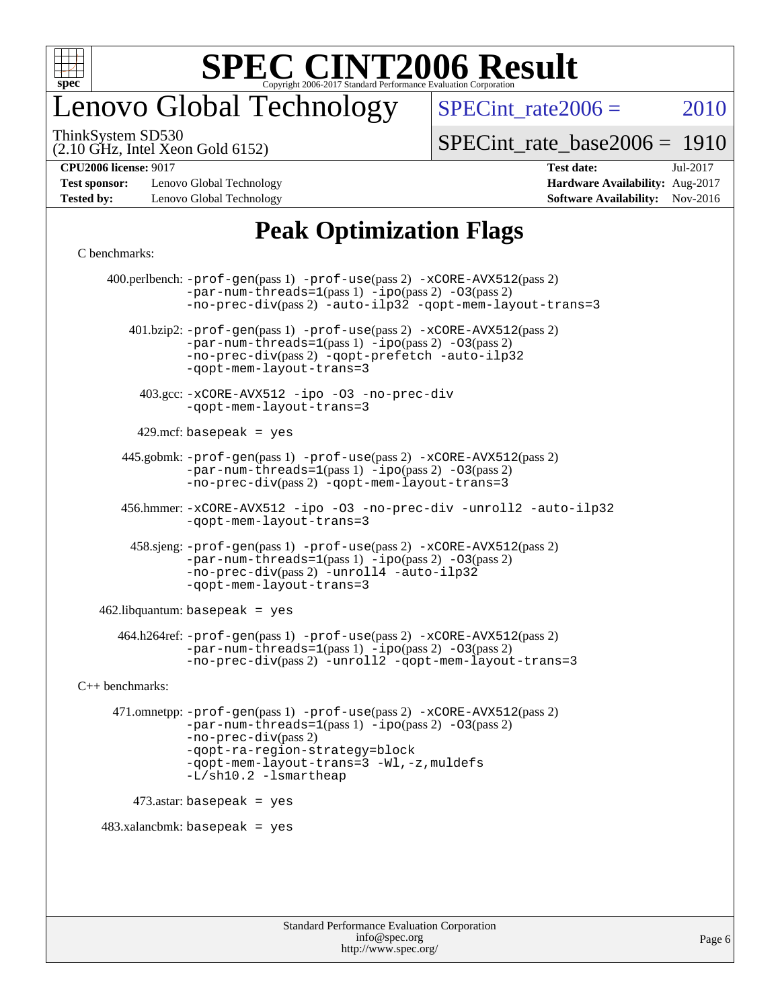

## enovo Global Technology

SPECint rate $2006 = 2010$ 

(2.10 GHz, Intel Xeon Gold 6152) ThinkSystem SD530

[SPECint\\_rate\\_base2006 =](http://www.spec.org/auto/cpu2006/Docs/result-fields.html#SPECintratebase2006) 1910

**[Test sponsor:](http://www.spec.org/auto/cpu2006/Docs/result-fields.html#Testsponsor)** Lenovo Global Technology **[Hardware Availability:](http://www.spec.org/auto/cpu2006/Docs/result-fields.html#HardwareAvailability)** Aug-2017 **[Tested by:](http://www.spec.org/auto/cpu2006/Docs/result-fields.html#Testedby)** Lenovo Global Technology **[Software Availability:](http://www.spec.org/auto/cpu2006/Docs/result-fields.html#SoftwareAvailability)** Nov-2016

**[CPU2006 license:](http://www.spec.org/auto/cpu2006/Docs/result-fields.html#CPU2006license)** 9017 **[Test date:](http://www.spec.org/auto/cpu2006/Docs/result-fields.html#Testdate)** Jul-2017

### **[Peak Optimization Flags](http://www.spec.org/auto/cpu2006/Docs/result-fields.html#PeakOptimizationFlags)**

#### [C benchmarks](http://www.spec.org/auto/cpu2006/Docs/result-fields.html#Cbenchmarks):

 400.perlbench: [-prof-gen](http://www.spec.org/cpu2006/results/res2017q4/cpu2006-20170918-49660.flags.html#user_peakPASS1_CFLAGSPASS1_LDCFLAGS400_perlbench_prof_gen_e43856698f6ca7b7e442dfd80e94a8fc)(pass 1) [-prof-use](http://www.spec.org/cpu2006/results/res2017q4/cpu2006-20170918-49660.flags.html#user_peakPASS2_CFLAGSPASS2_LDCFLAGS400_perlbench_prof_use_bccf7792157ff70d64e32fe3e1250b55)(pass 2) [-xCORE-AVX512](http://www.spec.org/cpu2006/results/res2017q4/cpu2006-20170918-49660.flags.html#user_peakPASS2_CFLAGSPASS2_LDCFLAGS400_perlbench_f-xCORE-AVX512)(pass 2)  $-par-num-threads=1(pass 1) -ipo(pass 2) -O3(pass 2)$  $-par-num-threads=1(pass 1) -ipo(pass 2) -O3(pass 2)$  $-par-num-threads=1(pass 1) -ipo(pass 2) -O3(pass 2)$  $-par-num-threads=1(pass 1) -ipo(pass 2) -O3(pass 2)$  $-par-num-threads=1(pass 1) -ipo(pass 2) -O3(pass 2)$  $-par-num-threads=1(pass 1) -ipo(pass 2) -O3(pass 2)$ [-no-prec-div](http://www.spec.org/cpu2006/results/res2017q4/cpu2006-20170918-49660.flags.html#user_peakPASS2_CFLAGSPASS2_LDCFLAGS400_perlbench_f-no-prec-div)(pass 2) [-auto-ilp32](http://www.spec.org/cpu2006/results/res2017q4/cpu2006-20170918-49660.flags.html#user_peakCOPTIMIZE400_perlbench_f-auto-ilp32) [-qopt-mem-layout-trans=3](http://www.spec.org/cpu2006/results/res2017q4/cpu2006-20170918-49660.flags.html#user_peakCOPTIMIZE400_perlbench_f-qopt-mem-layout-trans_170f5be61cd2cedc9b54468c59262d5d) 401.bzip2: [-prof-gen](http://www.spec.org/cpu2006/results/res2017q4/cpu2006-20170918-49660.flags.html#user_peakPASS1_CFLAGSPASS1_LDCFLAGS401_bzip2_prof_gen_e43856698f6ca7b7e442dfd80e94a8fc)(pass 1) [-prof-use](http://www.spec.org/cpu2006/results/res2017q4/cpu2006-20170918-49660.flags.html#user_peakPASS2_CFLAGSPASS2_LDCFLAGS401_bzip2_prof_use_bccf7792157ff70d64e32fe3e1250b55)(pass 2) [-xCORE-AVX512](http://www.spec.org/cpu2006/results/res2017q4/cpu2006-20170918-49660.flags.html#user_peakPASS2_CFLAGSPASS2_LDCFLAGS401_bzip2_f-xCORE-AVX512)(pass 2) [-par-num-threads=1](http://www.spec.org/cpu2006/results/res2017q4/cpu2006-20170918-49660.flags.html#user_peakPASS1_CFLAGSPASS1_LDCFLAGS401_bzip2_par_num_threads_786a6ff141b4e9e90432e998842df6c2)(pass 1) [-ipo](http://www.spec.org/cpu2006/results/res2017q4/cpu2006-20170918-49660.flags.html#user_peakPASS2_CFLAGSPASS2_LDCFLAGS401_bzip2_f-ipo)(pass 2) [-O3](http://www.spec.org/cpu2006/results/res2017q4/cpu2006-20170918-49660.flags.html#user_peakPASS2_CFLAGSPASS2_LDCFLAGS401_bzip2_f-O3)(pass 2) [-no-prec-div](http://www.spec.org/cpu2006/results/res2017q4/cpu2006-20170918-49660.flags.html#user_peakPASS2_CFLAGSPASS2_LDCFLAGS401_bzip2_f-no-prec-div)(pass 2) [-qopt-prefetch](http://www.spec.org/cpu2006/results/res2017q4/cpu2006-20170918-49660.flags.html#user_peakCOPTIMIZE401_bzip2_f-qopt-prefetch) [-auto-ilp32](http://www.spec.org/cpu2006/results/res2017q4/cpu2006-20170918-49660.flags.html#user_peakCOPTIMIZE401_bzip2_f-auto-ilp32) [-qopt-mem-layout-trans=3](http://www.spec.org/cpu2006/results/res2017q4/cpu2006-20170918-49660.flags.html#user_peakCOPTIMIZE401_bzip2_f-qopt-mem-layout-trans_170f5be61cd2cedc9b54468c59262d5d) 403.gcc: [-xCORE-AVX512](http://www.spec.org/cpu2006/results/res2017q4/cpu2006-20170918-49660.flags.html#user_peakOPTIMIZE403_gcc_f-xCORE-AVX512) [-ipo](http://www.spec.org/cpu2006/results/res2017q4/cpu2006-20170918-49660.flags.html#user_peakOPTIMIZE403_gcc_f-ipo) [-O3](http://www.spec.org/cpu2006/results/res2017q4/cpu2006-20170918-49660.flags.html#user_peakOPTIMIZE403_gcc_f-O3) [-no-prec-div](http://www.spec.org/cpu2006/results/res2017q4/cpu2006-20170918-49660.flags.html#user_peakOPTIMIZE403_gcc_f-no-prec-div) [-qopt-mem-layout-trans=3](http://www.spec.org/cpu2006/results/res2017q4/cpu2006-20170918-49660.flags.html#user_peakCOPTIMIZE403_gcc_f-qopt-mem-layout-trans_170f5be61cd2cedc9b54468c59262d5d)  $429$ .mcf: basepeak = yes 445.gobmk: [-prof-gen](http://www.spec.org/cpu2006/results/res2017q4/cpu2006-20170918-49660.flags.html#user_peakPASS1_CFLAGSPASS1_LDCFLAGS445_gobmk_prof_gen_e43856698f6ca7b7e442dfd80e94a8fc)(pass 1) [-prof-use](http://www.spec.org/cpu2006/results/res2017q4/cpu2006-20170918-49660.flags.html#user_peakPASS2_CFLAGSPASS2_LDCFLAGSPASS2_LDFLAGS445_gobmk_prof_use_bccf7792157ff70d64e32fe3e1250b55)(pass 2) [-xCORE-AVX512](http://www.spec.org/cpu2006/results/res2017q4/cpu2006-20170918-49660.flags.html#user_peakPASS2_CFLAGSPASS2_LDCFLAGSPASS2_LDFLAGS445_gobmk_f-xCORE-AVX512)(pass 2) [-par-num-threads=1](http://www.spec.org/cpu2006/results/res2017q4/cpu2006-20170918-49660.flags.html#user_peakPASS1_CFLAGSPASS1_LDCFLAGS445_gobmk_par_num_threads_786a6ff141b4e9e90432e998842df6c2)(pass 1) [-ipo](http://www.spec.org/cpu2006/results/res2017q4/cpu2006-20170918-49660.flags.html#user_peakPASS2_LDCFLAGS445_gobmk_f-ipo)(pass 2) [-O3](http://www.spec.org/cpu2006/results/res2017q4/cpu2006-20170918-49660.flags.html#user_peakPASS2_LDCFLAGS445_gobmk_f-O3)(pass 2) [-no-prec-div](http://www.spec.org/cpu2006/results/res2017q4/cpu2006-20170918-49660.flags.html#user_peakPASS2_LDCFLAGS445_gobmk_f-no-prec-div)(pass 2) [-qopt-mem-layout-trans=3](http://www.spec.org/cpu2006/results/res2017q4/cpu2006-20170918-49660.flags.html#user_peakCOPTIMIZE445_gobmk_f-qopt-mem-layout-trans_170f5be61cd2cedc9b54468c59262d5d) 456.hmmer: [-xCORE-AVX512](http://www.spec.org/cpu2006/results/res2017q4/cpu2006-20170918-49660.flags.html#user_peakOPTIMIZE456_hmmer_f-xCORE-AVX512) [-ipo](http://www.spec.org/cpu2006/results/res2017q4/cpu2006-20170918-49660.flags.html#user_peakOPTIMIZE456_hmmer_f-ipo) [-O3](http://www.spec.org/cpu2006/results/res2017q4/cpu2006-20170918-49660.flags.html#user_peakOPTIMIZE456_hmmer_f-O3) [-no-prec-div](http://www.spec.org/cpu2006/results/res2017q4/cpu2006-20170918-49660.flags.html#user_peakOPTIMIZE456_hmmer_f-no-prec-div) [-unroll2](http://www.spec.org/cpu2006/results/res2017q4/cpu2006-20170918-49660.flags.html#user_peakCOPTIMIZE456_hmmer_f-unroll_784dae83bebfb236979b41d2422d7ec2) [-auto-ilp32](http://www.spec.org/cpu2006/results/res2017q4/cpu2006-20170918-49660.flags.html#user_peakCOPTIMIZE456_hmmer_f-auto-ilp32) [-qopt-mem-layout-trans=3](http://www.spec.org/cpu2006/results/res2017q4/cpu2006-20170918-49660.flags.html#user_peakCOPTIMIZE456_hmmer_f-qopt-mem-layout-trans_170f5be61cd2cedc9b54468c59262d5d) 458.sjeng: [-prof-gen](http://www.spec.org/cpu2006/results/res2017q4/cpu2006-20170918-49660.flags.html#user_peakPASS1_CFLAGSPASS1_LDCFLAGS458_sjeng_prof_gen_e43856698f6ca7b7e442dfd80e94a8fc)(pass 1) [-prof-use](http://www.spec.org/cpu2006/results/res2017q4/cpu2006-20170918-49660.flags.html#user_peakPASS2_CFLAGSPASS2_LDCFLAGS458_sjeng_prof_use_bccf7792157ff70d64e32fe3e1250b55)(pass 2) [-xCORE-AVX512](http://www.spec.org/cpu2006/results/res2017q4/cpu2006-20170918-49660.flags.html#user_peakPASS2_CFLAGSPASS2_LDCFLAGS458_sjeng_f-xCORE-AVX512)(pass 2) [-par-num-threads=1](http://www.spec.org/cpu2006/results/res2017q4/cpu2006-20170918-49660.flags.html#user_peakPASS1_CFLAGSPASS1_LDCFLAGS458_sjeng_par_num_threads_786a6ff141b4e9e90432e998842df6c2)(pass 1) [-ipo](http://www.spec.org/cpu2006/results/res2017q4/cpu2006-20170918-49660.flags.html#user_peakPASS2_CFLAGSPASS2_LDCFLAGS458_sjeng_f-ipo)(pass 2) [-O3](http://www.spec.org/cpu2006/results/res2017q4/cpu2006-20170918-49660.flags.html#user_peakPASS2_CFLAGSPASS2_LDCFLAGS458_sjeng_f-O3)(pass 2) [-no-prec-div](http://www.spec.org/cpu2006/results/res2017q4/cpu2006-20170918-49660.flags.html#user_peakPASS2_CFLAGSPASS2_LDCFLAGS458_sjeng_f-no-prec-div)(pass 2) [-unroll4](http://www.spec.org/cpu2006/results/res2017q4/cpu2006-20170918-49660.flags.html#user_peakCOPTIMIZE458_sjeng_f-unroll_4e5e4ed65b7fd20bdcd365bec371b81f) [-auto-ilp32](http://www.spec.org/cpu2006/results/res2017q4/cpu2006-20170918-49660.flags.html#user_peakCOPTIMIZE458_sjeng_f-auto-ilp32) [-qopt-mem-layout-trans=3](http://www.spec.org/cpu2006/results/res2017q4/cpu2006-20170918-49660.flags.html#user_peakCOPTIMIZE458_sjeng_f-qopt-mem-layout-trans_170f5be61cd2cedc9b54468c59262d5d)  $462$ .libquantum: basepeak = yes 464.h264ref: [-prof-gen](http://www.spec.org/cpu2006/results/res2017q4/cpu2006-20170918-49660.flags.html#user_peakPASS1_CFLAGSPASS1_LDCFLAGS464_h264ref_prof_gen_e43856698f6ca7b7e442dfd80e94a8fc)(pass 1) [-prof-use](http://www.spec.org/cpu2006/results/res2017q4/cpu2006-20170918-49660.flags.html#user_peakPASS2_CFLAGSPASS2_LDCFLAGS464_h264ref_prof_use_bccf7792157ff70d64e32fe3e1250b55)(pass 2) [-xCORE-AVX512](http://www.spec.org/cpu2006/results/res2017q4/cpu2006-20170918-49660.flags.html#user_peakPASS2_CFLAGSPASS2_LDCFLAGS464_h264ref_f-xCORE-AVX512)(pass 2) [-par-num-threads=1](http://www.spec.org/cpu2006/results/res2017q4/cpu2006-20170918-49660.flags.html#user_peakPASS1_CFLAGSPASS1_LDCFLAGS464_h264ref_par_num_threads_786a6ff141b4e9e90432e998842df6c2)(pass 1) [-ipo](http://www.spec.org/cpu2006/results/res2017q4/cpu2006-20170918-49660.flags.html#user_peakPASS2_CFLAGSPASS2_LDCFLAGS464_h264ref_f-ipo)(pass 2) [-O3](http://www.spec.org/cpu2006/results/res2017q4/cpu2006-20170918-49660.flags.html#user_peakPASS2_CFLAGSPASS2_LDCFLAGS464_h264ref_f-O3)(pass 2) [-no-prec-div](http://www.spec.org/cpu2006/results/res2017q4/cpu2006-20170918-49660.flags.html#user_peakPASS2_CFLAGSPASS2_LDCFLAGS464_h264ref_f-no-prec-div)(pass 2) [-unroll2](http://www.spec.org/cpu2006/results/res2017q4/cpu2006-20170918-49660.flags.html#user_peakCOPTIMIZE464_h264ref_f-unroll_784dae83bebfb236979b41d2422d7ec2) [-qopt-mem-layout-trans=3](http://www.spec.org/cpu2006/results/res2017q4/cpu2006-20170918-49660.flags.html#user_peakCOPTIMIZE464_h264ref_f-qopt-mem-layout-trans_170f5be61cd2cedc9b54468c59262d5d) [C++ benchmarks:](http://www.spec.org/auto/cpu2006/Docs/result-fields.html#CXXbenchmarks) 471.omnetpp: [-prof-gen](http://www.spec.org/cpu2006/results/res2017q4/cpu2006-20170918-49660.flags.html#user_peakPASS1_CXXFLAGSPASS1_LDCXXFLAGS471_omnetpp_prof_gen_e43856698f6ca7b7e442dfd80e94a8fc)(pass 1) [-prof-use](http://www.spec.org/cpu2006/results/res2017q4/cpu2006-20170918-49660.flags.html#user_peakPASS2_CXXFLAGSPASS2_LDCXXFLAGS471_omnetpp_prof_use_bccf7792157ff70d64e32fe3e1250b55)(pass 2) [-xCORE-AVX512](http://www.spec.org/cpu2006/results/res2017q4/cpu2006-20170918-49660.flags.html#user_peakPASS2_CXXFLAGSPASS2_LDCXXFLAGS471_omnetpp_f-xCORE-AVX512)(pass 2) [-par-num-threads=1](http://www.spec.org/cpu2006/results/res2017q4/cpu2006-20170918-49660.flags.html#user_peakPASS1_CXXFLAGSPASS1_LDCXXFLAGS471_omnetpp_par_num_threads_786a6ff141b4e9e90432e998842df6c2)(pass 1) [-ipo](http://www.spec.org/cpu2006/results/res2017q4/cpu2006-20170918-49660.flags.html#user_peakPASS2_CXXFLAGSPASS2_LDCXXFLAGS471_omnetpp_f-ipo)(pass 2) [-O3](http://www.spec.org/cpu2006/results/res2017q4/cpu2006-20170918-49660.flags.html#user_peakPASS2_CXXFLAGSPASS2_LDCXXFLAGS471_omnetpp_f-O3)(pass 2) [-no-prec-div](http://www.spec.org/cpu2006/results/res2017q4/cpu2006-20170918-49660.flags.html#user_peakPASS2_CXXFLAGSPASS2_LDCXXFLAGS471_omnetpp_f-no-prec-div)(pass 2) [-qopt-ra-region-strategy=block](http://www.spec.org/cpu2006/results/res2017q4/cpu2006-20170918-49660.flags.html#user_peakCXXOPTIMIZE471_omnetpp_f-qopt-ra-region-strategy_430aa8f7c220cbde92ae827fa8d9be32)  [-qopt-mem-layout-trans=3](http://www.spec.org/cpu2006/results/res2017q4/cpu2006-20170918-49660.flags.html#user_peakCXXOPTIMIZE471_omnetpp_f-qopt-mem-layout-trans_170f5be61cd2cedc9b54468c59262d5d) [-Wl,-z,muldefs](http://www.spec.org/cpu2006/results/res2017q4/cpu2006-20170918-49660.flags.html#user_peakEXTRA_LDFLAGS471_omnetpp_link_force_multiple1_74079c344b956b9658436fd1b6dd3a8a) [-L/sh10.2 -lsmartheap](http://www.spec.org/cpu2006/results/res2017q4/cpu2006-20170918-49660.flags.html#user_peakEXTRA_LIBS471_omnetpp_SmartHeap_b831f2d313e2fffa6dfe3f00ffc1f1c0) 473.astar: basepeak = yes  $483.xalanchmk: basepeak = yes$